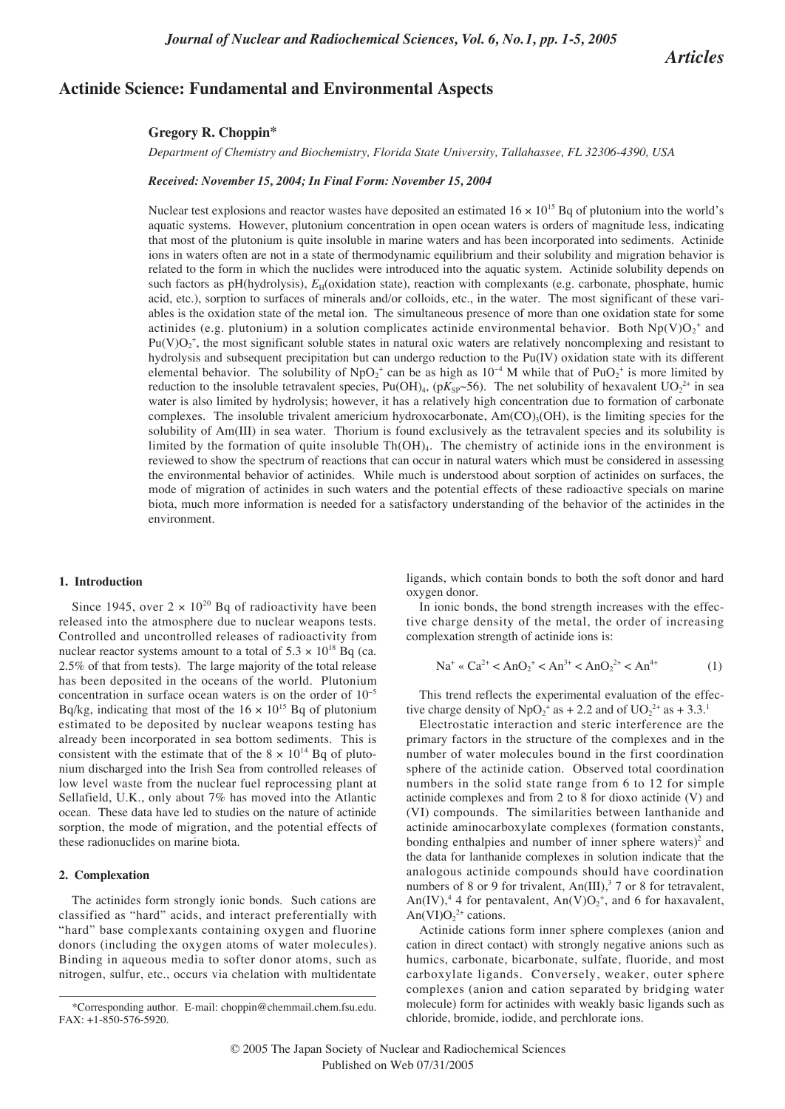*Articles*

# **Actinide Science: Fundamental and Environmental Aspects**

# **Gregory R. Choppin\***

*Department of Chemistry and Biochemistry, Florida State University, Tallahassee, FL 32306-4390, USA*

*Received: November 15, 2004; In Final Form: November 15, 2004*

Nuclear test explosions and reactor wastes have deposited an estimated  $16 \times 10^{15}$  Bq of plutonium into the world's aquatic systems. However, plutonium concentration in open ocean waters is orders of magnitude less, indicating that most of the plutonium is quite insoluble in marine waters and has been incorporated into sediments. Actinide ions in waters often are not in a state of thermodynamic equilibrium and their solubility and migration behavior is related to the form in which the nuclides were introduced into the aquatic system. Actinide solubility depends on such factors as pH(hydrolysis),  $E_{\text{H}}$ (oxidation state), reaction with complexants (e.g. carbonate, phosphate, humic acid, etc.), sorption to surfaces of minerals and/or colloids, etc., in the water. The most significant of these variables is the oxidation state of the metal ion. The simultaneous presence of more than one oxidation state for some actinides (e.g. plutonium) in a solution complicates actinide environmental behavior. Both  $Np(V)O_2^+$  and  $Pu(V)O<sub>2</sub><sup>+</sup>$ , the most significant soluble states in natural oxic waters are relatively noncomplexing and resistant to hydrolysis and subsequent precipitation but can undergo reduction to the Pu(IV) oxidation state with its different elemental behavior. The solubility of NpO<sub>2</sub><sup>+</sup> can be as high as 10<sup>-4</sup> M while that of PuO<sub>2</sub><sup>+</sup> is more limited by reduction to the insoluble tetravalent species,  $Pu(OH)_4$ ,  $(pK_{SP} \sim 56)$ . The net solubility of hexavalent  $UO_2^{2+}$  in sea water is also limited by hydrolysis; however, it has a relatively high concentration due to formation of carbonate complexes. The insoluble trivalent americium hydroxocarbonate,  $Am(CO)<sub>3</sub>(OH)$ , is the limiting species for the solubility of Am(III) in sea water. Thorium is found exclusively as the tetravalent species and its solubility is limited by the formation of quite insoluble  $Th(OH)<sub>4</sub>$ . The chemistry of actinide ions in the environment is reviewed to show the spectrum of reactions that can occur in natural waters which must be considered in assessing the environmental behavior of actinides. While much is understood about sorption of actinides on surfaces, the mode of migration of actinides in such waters and the potential effects of these radioactive specials on marine biota, much more information is needed for a satisfactory understanding of the behavior of the actinides in the environment.

### **1. Introduction**

Since 1945, over  $2 \times 10^{20}$  Bq of radioactivity have been released into the atmosphere due to nuclear weapons tests. Controlled and uncontrolled releases of radioactivity from nuclear reactor systems amount to a total of  $5.3 \times 10^{18}$  Bq (ca. 2.5% of that from tests). The large majority of the total release has been deposited in the oceans of the world. Plutonium concentration in surface ocean waters is on the order of 10<sup>−</sup><sup>5</sup> Bq/kg, indicating that most of the  $16 \times 10^{15}$  Bq of plutonium estimated to be deposited by nuclear weapons testing has already been incorporated in sea bottom sediments. This is consistent with the estimate that of the  $8 \times 10^{14}$  Bq of plutonium discharged into the Irish Sea from controlled releases of low level waste from the nuclear fuel reprocessing plant at Sellafield, U.K., only about 7% has moved into the Atlantic ocean. These data have led to studies on the nature of actinide sorption, the mode of migration, and the potential effects of these radionuclides on marine biota.

# **2. Complexation**

The actinides form strongly ionic bonds. Such cations are classified as "hard" acids, and interact preferentially with "hard" base complexants containing oxygen and fluorine donors (including the oxygen atoms of water molecules). Binding in aqueous media to softer donor atoms, such as nitrogen, sulfur, etc., occurs via chelation with multidentate ligands, which contain bonds to both the soft donor and hard oxygen donor.

In ionic bonds, the bond strength increases with the effective charge density of the metal, the order of increasing complexation strength of actinide ions is:

$$
Na^{+} \ll Ca^{2+} < AnO_2^{+} < An^{3+} < AnO_2^{2+} < An^{4+}
$$
 (1)

This trend reflects the experimental evaluation of the effective charge density of  $NpO_2^*$  as  $+ 2.2$  and of  $UO_2^{2*}$  as  $+ 3.3$ .<sup>1</sup>

Electrostatic interaction and steric interference are the primary factors in the structure of the complexes and in the number of water molecules bound in the first coordination sphere of the actinide cation. Observed total coordination numbers in the solid state range from 6 to 12 for simple actinide complexes and from 2 to 8 for dioxo actinide (V) and (VI) compounds. The similarities between lanthanide and actinide aminocarboxylate complexes (formation constants, bonding enthalpies and number of inner sphere waters)<sup>2</sup> and the data for lanthanide complexes in solution indicate that the analogous actinide compounds should have coordination numbers of 8 or 9 for trivalent,  $An(III)$ ,<sup>3</sup> 7 or 8 for tetravalent, An(IV),<sup>4</sup> 4 for pentavalent,  $An(V)O_2^+$ , and 6 for haxavalent, An(VI) $O_2^{2+}$  cations.

Actinide cations form inner sphere complexes (anion and cation in direct contact) with strongly negative anions such as humics, carbonate, bicarbonate, sulfate, fluoride, and most carboxylate ligands. Conversely, weaker, outer sphere complexes (anion and cation separated by bridging water molecule) form for actinides with weakly basic ligands such as chloride, bromide, iodide, and perchlorate ions.

<sup>\*</sup>Corresponding author. E-mail: choppin@chemmail.chem.fsu.edu. FAX: +1-850-576-5920.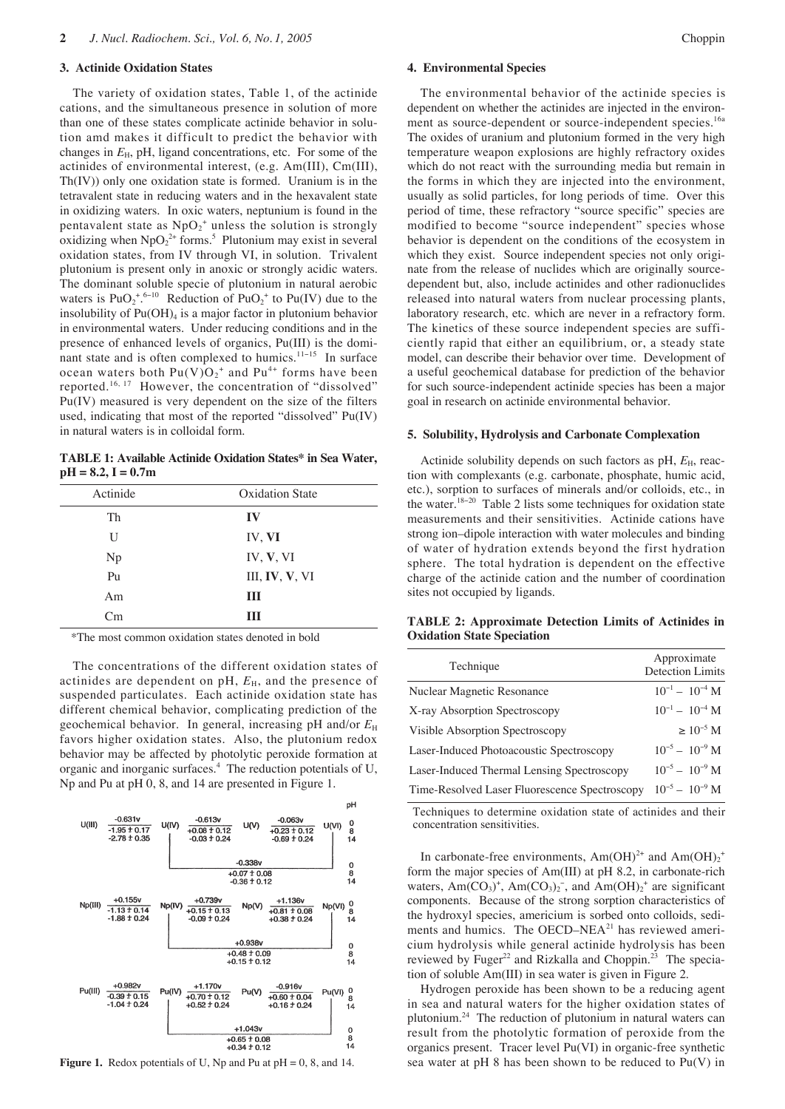#### **3. Actinide Oxidation States**

The variety of oxidation states, Table 1, of the actinide cations, and the simultaneous presence in solution of more than one of these states complicate actinide behavior in solution amd makes it difficult to predict the behavior with changes in  $E_{\text{H}}$ , pH, ligand concentrations, etc. For some of the actinides of environmental interest, (e.g. Am(III), Cm(III), Th(IV)) only one oxidation state is formed. Uranium is in the tetravalent state in reducing waters and in the hexavalent state in oxidizing waters. In oxic waters, neptunium is found in the pentavalent state as  $NpO_2$ <sup>+</sup> unless the solution is strongly oxidizing when  $NpO<sub>2</sub><sup>2+</sup>$  forms.<sup>5</sup> Plutonium may exist in several oxidation states, from IV through VI, in solution. Trivalent plutonium is present only in anoxic or strongly acidic waters. The dominant soluble specie of plutonium in natural aerobic waters is  $PuO_2^{\text{+}}$ .<sup>6-10</sup> Reduction of  $PuO_2^{\text{+}}$  to  $Pu(IV)$  due to the insolubility of  $Pu(OH)<sub>4</sub>$  is a major factor in plutonium behavior in environmental waters. Under reducing conditions and in the presence of enhanced levels of organics, Pu(III) is the dominant state and is often complexed to humics.<sup>11−15</sup> In surface ocean waters both  $Pu(V)O_2^+$  and  $Pu^{4+}$  forms have been reported.<sup>16, 17</sup> However, the concentration of "dissolved" Pu(IV) measured is very dependent on the size of the filters used, indicating that most of the reported "dissolved" Pu(IV) in natural waters is in colloidal form.

**TABLE 1: Available Actinide Oxidation States\* in Sea Water, pH = 8.2, I = 0.7m**

| Actinide | <b>Oxidation State</b> |
|----------|------------------------|
| Th       | IV                     |
| Ħ        | IV, VI                 |
| Np       | IV, V, VI              |
| Pu       | III, IV, V, VI         |
| Am       | Ш                      |
| Сm       | Ш                      |

\*The most common oxidation states denoted in bold

The concentrations of the different oxidation states of actinides are dependent on pH,  $E_{\text{H}}$ , and the presence of suspended particulates. Each actinide oxidation state has different chemical behavior, complicating prediction of the geochemical behavior. In general, increasing pH and/or  $E_{\rm H}$ favors higher oxidation states. Also, the plutonium redox behavior may be affected by photolytic peroxide formation at organic and inorganic surfaces.4 The reduction potentials of U, Np and Pu at pH 0, 8, and 14 are presented in Figure 1.



**Figure 1.** Redox potentials of U, Np and Pu at  $pH = 0$ , 8, and 14.

### **4. Environmental Species**

The environmental behavior of the actinide species is dependent on whether the actinides are injected in the environment as source-dependent or source-independent species.<sup>16a</sup> The oxides of uranium and plutonium formed in the very high temperature weapon explosions are highly refractory oxides which do not react with the surrounding media but remain in the forms in which they are injected into the environment, usually as solid particles, for long periods of time. Over this period of time, these refractory "source specific" species are modified to become "source independent" species whose behavior is dependent on the conditions of the ecosystem in which they exist. Source independent species not only originate from the release of nuclides which are originally sourcedependent but, also, include actinides and other radionuclides released into natural waters from nuclear processing plants, laboratory research, etc. which are never in a refractory form. The kinetics of these source independent species are sufficiently rapid that either an equilibrium, or, a steady state model, can describe their behavior over time. Development of a useful geochemical database for prediction of the behavior for such source-independent actinide species has been a major goal in research on actinide environmental behavior.

#### **5. Solubility, Hydrolysis and Carbonate Complexation**

Actinide solubility depends on such factors as pH,  $E_{\text{H}}$ , reaction with complexants (e.g. carbonate, phosphate, humic acid, etc.), sorption to surfaces of minerals and/or colloids, etc., in the water.18−<sup>20</sup> Table 2 lists some techniques for oxidation state measurements and their sensitivities. Actinide cations have strong ion–dipole interaction with water molecules and binding of water of hydration extends beyond the first hydration sphere. The total hydration is dependent on the effective charge of the actinide cation and the number of coordination sites not occupied by ligands.

**TABLE 2: Approximate Detection Limits of Actinides in Oxidation State Speciation**

| Technique                                     | Approximate<br><b>Detection Limits</b> |
|-----------------------------------------------|----------------------------------------|
| Nuclear Magnetic Resonance                    | $10^{-1} - 10^{-4}$ M                  |
| X-ray Absorption Spectroscopy                 | $10^{-1} - 10^{-4}$ M                  |
| Visible Absorption Spectroscopy               | $> 10^{-5}$ M                          |
| Laser-Induced Photoacoustic Spectroscopy      | $10^{-5} - 10^{-9}$ M                  |
| Laser-Induced Thermal Lensing Spectroscopy    | $10^{-5} - 10^{-9}$ M                  |
| Time-Resolved Laser Fluorescence Spectroscopy | $10^{-5} - 10^{-9}$ M                  |

Techniques to determine oxidation state of actinides and their concentration sensitivities.

In carbonate-free environments,  $Am(OH)^{2+}$  and  $Am(OH)_{2}^{+}$ form the major species of Am(III) at pH 8.2, in carbonate-rich waters,  $Am(CO<sub>3</sub>)<sup>+</sup>$ ,  $Am(CO<sub>3</sub>)<sub>2</sub><sup>-</sup>$ , and  $Am(OH)<sub>2</sub><sup>+</sup>$  are significant components. Because of the strong sorption characteristics of the hydroxyl species, americium is sorbed onto colloids, sediments and humics. The OECD–NEA<sup>21</sup> has reviewed americium hydrolysis while general actinide hydrolysis has been reviewed by Fuger<sup>22</sup> and Rizkalla and Choppin.<sup>23</sup> The speciation of soluble Am(III) in sea water is given in Figure 2.

Hydrogen peroxide has been shown to be a reducing agent in sea and natural waters for the higher oxidation states of plutonium.24 The reduction of plutonium in natural waters can result from the photolytic formation of peroxide from the organics present. Tracer level Pu(VI) in organic-free synthetic sea water at  $pH_8$  has been shown to be reduced to  $Pu(V)$  in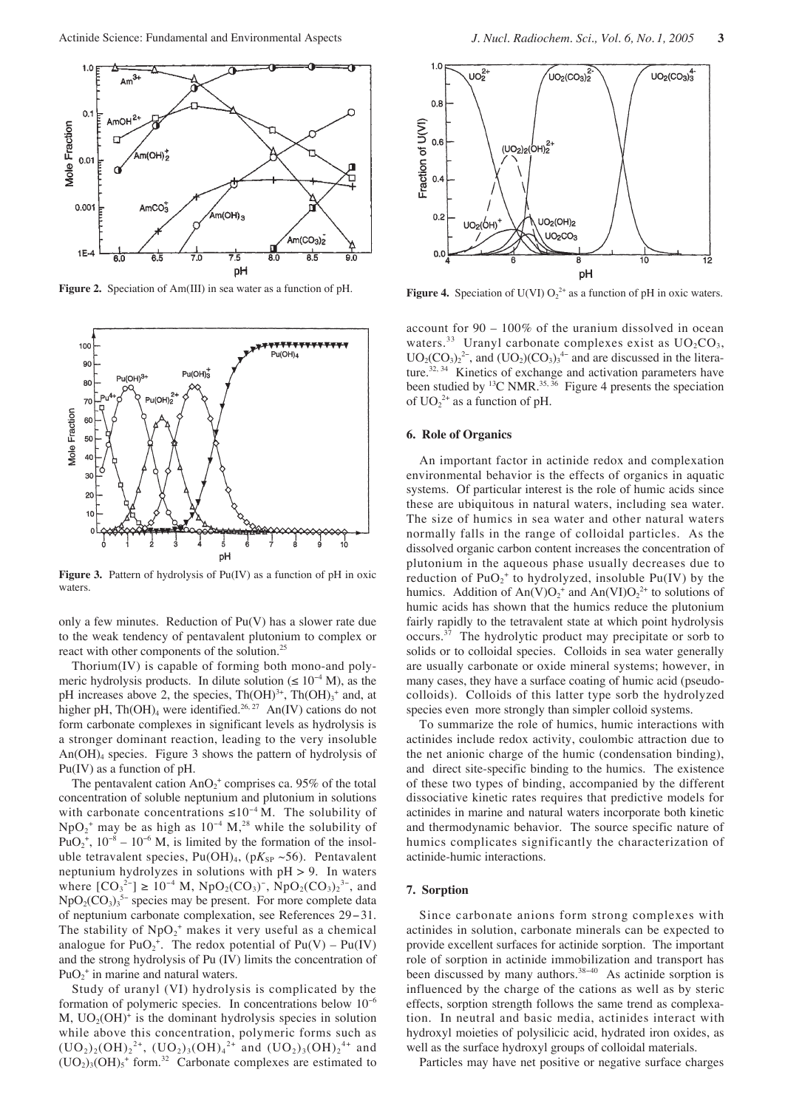



Figure 3. Pattern of hydrolysis of Pu(IV) as a function of pH in oxic waters.

only a few minutes. Reduction of Pu(V) has a slower rate due to the weak tendency of pentavalent plutonium to complex or react with other components of the solution.<sup>25</sup>

Thorium(IV) is capable of forming both mono-and polymeric hydrolysis products. In dilute solution ( $\leq 10^{-4}$  M), as the pH increases above 2, the species,  $Th(OH)<sup>3+</sup>$ ,  $Th(OH)<sub>3</sub><sup>+</sup>$  and, at higher pH, Th(OH)<sub>4</sub> were identified.<sup>26, 27</sup> An(IV) cations do not form carbonate complexes in significant levels as hydrolysis is a stronger dominant reaction, leading to the very insoluble  $An(OH)<sub>4</sub>$  species. Figure 3 shows the pattern of hydrolysis of Pu(IV) as a function of pH.

The pentavalent cation  $AnO<sub>2</sub><sup>+</sup> comprises a. 95% of the total$ concentration of soluble neptunium and plutonium in solutions with carbonate concentrations  $≤10^{-4}$  M. The solubility of NpO<sub>2</sub><sup>+</sup> may be as high as 10<sup>-4</sup> M,<sup>28</sup> while the solubility of PuO<sub>2</sub><sup>+</sup>, 10<sup>-8</sup> – 10<sup>-6</sup> M, is limited by the formation of the insoluble tetravalent species,  $Pu(OH)<sub>4</sub>$ ,  $(pK<sub>SP</sub> ~ 56)$ . Pentavalent neptunium hydrolyzes in solutions with  $pH > 9$ . In waters where  $[CO_3^2] \ge 10^{-4}$  M,  $NpO_2(CO_3)^{-}$ ,  $NpO_2(CO_3)_2^{3-}$ , and  $NpO_2(CO_3)$ <sup>5−</sup> species may be present. For more complete data of neptunium carbonate complexation, see References 29−31. The stability of  $NpO_2$ <sup>+</sup> makes it very useful as a chemical analogue for  $PuO_2^+$ . The redox potential of  $Pu(V) - Pu(IV)$ and the strong hydrolysis of Pu (IV) limits the concentration of  $PuO<sub>2</sub><sup>+</sup>$  in marine and natural waters.

Study of uranyl (VI) hydrolysis is complicated by the formation of polymeric species. In concentrations below 10<sup>−</sup><sup>6</sup> M,  $UO<sub>2</sub>(OH)<sup>+</sup>$  is the dominant hydrolysis species in solution while above this concentration, polymeric forms such as  $({\rm UO_2})_2({\rm OH})_2{}^{2+},~({\rm UO_2})_3({\rm OH})_4{}^{2+}$  and  $({\rm UO_2})_3({\rm OH})_2{}^{4+}$  and  $(UO<sub>2</sub>)<sub>3</sub>(OH)<sub>5</sub><sup>+</sup>$  form.<sup>32</sup> Carbonate complexes are estimated to



**Figure 2.** Speciation of Am(III) in sea water as a function of pH. **Figure 4.** Speciation of U(VI)  $O_2^{2+}$  as a function of pH in oxic waters.

account for 90 – 100% of the uranium dissolved in ocean waters.<sup>33</sup> Uranyl carbonate complexes exist as  $UO_2CO_3$ ,  $UO_2(CO_3)_2^{2-}$ , and  $(UO_2)(CO_3)_3^{4-}$  and are discussed in the literature.<sup>32, 34</sup> Kinetics of exchange and activation parameters have been studied by <sup>13</sup>C NMR.<sup>35, 36</sup> Figure 4 presents the speciation of  $UO_2^{2+}$  as a function of pH.

### **6. Role of Organics**

An important factor in actinide redox and complexation environmental behavior is the effects of organics in aquatic systems. Of particular interest is the role of humic acids since these are ubiquitous in natural waters, including sea water. The size of humics in sea water and other natural waters normally falls in the range of colloidal particles. As the dissolved organic carbon content increases the concentration of plutonium in the aqueous phase usually decreases due to reduction of  $PuO_2^+$  to hydrolyzed, insoluble  $Pu(IV)$  by the humics. Addition of  $An(V)O_2^+$  and  $An(VI)O_2^{\{2+}}$  to solutions of humic acids has shown that the humics reduce the plutonium fairly rapidly to the tetravalent state at which point hydrolysis occurs.<sup>37</sup> The hydrolytic product may precipitate or sorb to solids or to colloidal species. Colloids in sea water generally are usually carbonate or oxide mineral systems; however, in many cases, they have a surface coating of humic acid (pseudocolloids). Colloids of this latter type sorb the hydrolyzed species even more strongly than simpler colloid systems.

To summarize the role of humics, humic interactions with actinides include redox activity, coulombic attraction due to the net anionic charge of the humic (condensation binding), and direct site-specific binding to the humics. The existence of these two types of binding, accompanied by the different dissociative kinetic rates requires that predictive models for actinides in marine and natural waters incorporate both kinetic and thermodynamic behavior. The source specific nature of humics complicates significantly the characterization of actinide-humic interactions.

# **7. Sorption**

Since carbonate anions form strong complexes with actinides in solution, carbonate minerals can be expected to provide excellent surfaces for actinide sorption. The important role of sorption in actinide immobilization and transport has been discussed by many authors.<sup>38-40</sup> As actinide sorption is influenced by the charge of the cations as well as by steric effects, sorption strength follows the same trend as complexation. In neutral and basic media, actinides interact with hydroxyl moieties of polysilicic acid, hydrated iron oxides, as well as the surface hydroxyl groups of colloidal materials.

Particles may have net positive or negative surface charges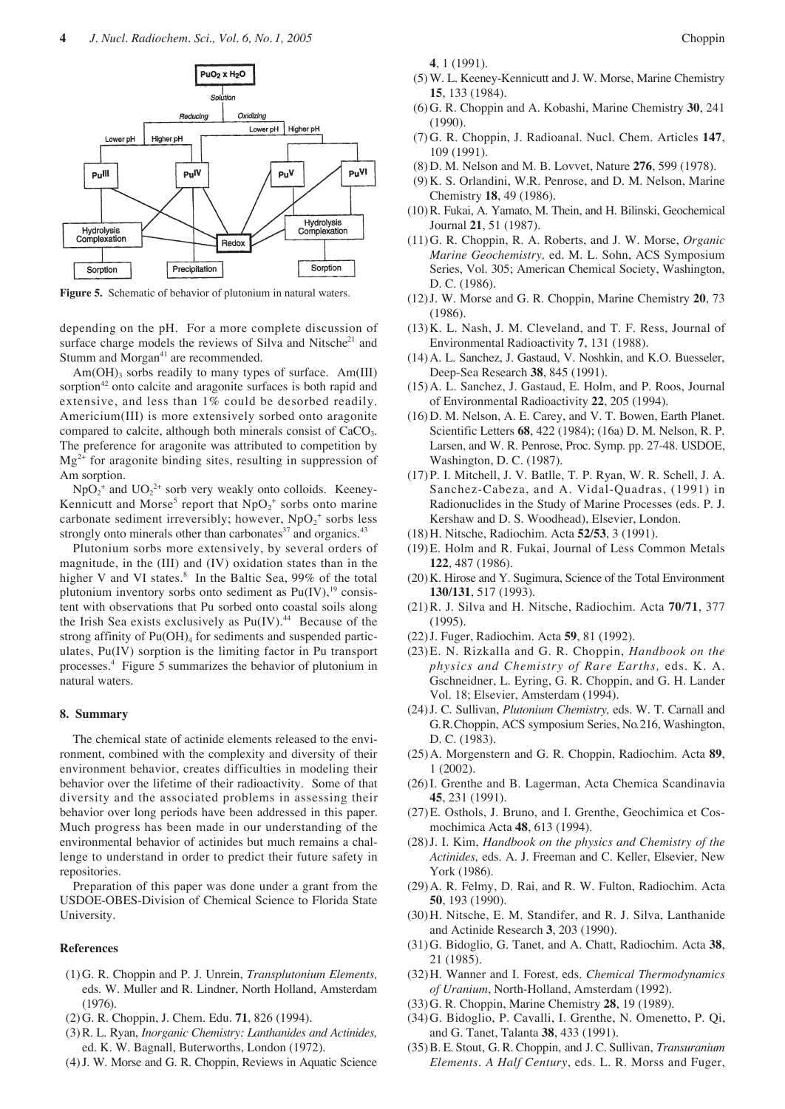

**Figure 5.** Schematic of behavior of plutonium in natural waters.

depending on the pH. For a more complete discussion of surface charge models the reviews of Silva and Nitsche<sup>21</sup> and Stumm and Morgan $41$  are recommended.

 $Am(OH)$ <sub>3</sub> sorbs readily to many types of surface. Am(III) sorption<sup>42</sup> onto calcite and aragonite surfaces is both rapid and extensive, and less than 1% could be desorbed readily. Americium(III) is more extensively sorbed onto aragonite compared to calcite, although both minerals consist of CaCO<sub>3</sub>. The preference for aragonite was attributed to competition by  $Mg<sup>2+</sup>$  for aragonite binding sites, resulting in suppression of Am sorption.

 $NpO_2^+$  and  $UO_2^{2+}$  sorb very weakly onto colloids. Keeney-Kennicutt and Morse<sup>5</sup> report that  $NpO_2$ <sup>+</sup> sorbs onto marine carbonate sediment irreversibly; however,  $NpO_2^*$  sorbs less strongly onto minerals other than carbonates $37$  and organics.<sup>43</sup>

Plutonium sorbs more extensively, by several orders of magnitude, in the (III) and (IV) oxidation states than in the higher V and VI states.<sup>8</sup> In the Baltic Sea, 99% of the total plutonium inventory sorbs onto sediment as  $Pu(IV),<sup>19</sup>$  consistent with observations that Pu sorbed onto coastal soils along the Irish Sea exists exclusively as  $Pu(IV).<sup>44</sup>$  Because of the strong affinity of  $Pu(OH)<sub>4</sub>$  for sediments and suspended particulates, Pu(IV) sorption is the limiting factor in Pu transport processes.4 Figure 5 summarizes the behavior of plutonium in natural waters.

### **8. Summary**

The chemical state of actinide elements released to the environment, combined with the complexity and diversity of their environment behavior, creates difficulties in modeling their behavior over the lifetime of their radioactivity. Some of that diversity and the associated problems in assessing their behavior over long periods have been addressed in this paper. Much progress has been made in our understanding of the environmental behavior of actinides but much remains a challenge to understand in order to predict their future safety in repositories.

Preparation of this paper was done under a grant from the USDOE-OBES-Division of Chemical Science to Florida State University.

### **References**

- (1) G. R. Choppin and P. J. Unrein, *Transplutonium Elements,* eds. W. Muller and R. Lindner, North Holland, Amsterdam (1976).
- (2) G. R. Choppin, J. Chem. Edu. **71**, 826 (1994).
- (3)R. L. Ryan, *Inorganic Chemistry: Lanthanides and Actinides,* ed. K. W. Bagnall, Buterworths, London (1972).
- (4)J. W. Morse and G. R. Choppin, Reviews in Aquatic Science

**4**, 1 (1991).

- (5)W. L. Keeney-Kennicutt and J. W. Morse, Marine Chemistry **15**, 133 (1984).
- (6) G. R. Choppin and A. Kobashi, Marine Chemistry **30**, 241 (1990).
- (7) G. R. Choppin, J. Radioanal. Nucl. Chem. Articles **147**, 109 (1991).
- (8) D. M. Nelson and M. B. Lovvet, Nature **276**, 599 (1978).
- (9) K. S. Orlandini, W.R. Penrose, and D. M. Nelson, Marine Chemistry **18**, 49 (1986).
- (10)R. Fukai, A. Yamato, M. Thein, and H. Bilinski, Geochemical Journal **21**, 51 (1987).
- (11)G. R. Choppin, R. A. Roberts, and J. W. Morse, *Organic Marine Geochemistry,* ed. M. L. Sohn, ACS Symposium Series, Vol. 305; American Chemical Society, Washington, D. C. (1986).
- (12)J. W. Morse and G. R. Choppin, Marine Chemistry **20**, 73 (1986).
- (13)K. L. Nash, J. M. Cleveland, and T. F. Ress, Journal of Environmental Radioactivity **7**, 131 (1988).
- (14)A. L. Sanchez, J. Gastaud, V. Noshkin, and K.O. Buesseler, Deep-Sea Research **38**, 845 (1991).
- (15)A. L. Sanchez, J. Gastaud, E. Holm, and P. Roos, Journal of Environmental Radioactivity **22**, 205 (1994).
- (16) D. M. Nelson, A. E. Carey, and V. T. Bowen, Earth Planet. Scientific Letters **68**, 422 (1984); (16a) D. M. Nelson, R. P. Larsen, and W. R. Penrose, Proc. Symp. pp. 27-48. USDOE, Washington, D. C. (1987).
- (17)P. I. Mitchell, J. V. Batlle, T. P. Ryan, W. R. Schell, J. A. Sanchez-Cabeza, and A. Vidal-Quadras, (1991) in Radionuclides in the Study of Marine Processes (eds. P. J. Kershaw and D. S. Woodhead), Elsevier, London.
- (18)H. Nitsche, Radiochim. Acta **52/53**, 3 (1991).
- (19)E. Holm and R. Fukai, Journal of Less Common Metals **122**, 487 (1986).
- (20)K. Hirose and Y. Sugimura, Science of the Total Environment **130/131**, 517 (1993).
- (21)R. J. Silva and H. Nitsche, Radiochim. Acta **70/71**, 377 (1995).
- (22)J. Fuger, Radiochim. Acta **59**, 81 (1992).
- (23)E. N. Rizkalla and G. R. Choppin, *Handbook on the physics and Chemistry of Rare Earths,* eds. K. A. Gschneidner, L. Eyring, G. R. Choppin, and G. H. Lander Vol. 18; Elsevier, Amsterdam (1994).
- (24)J. C. Sullivan, *Plutonium Chemistry,* eds. W. T. Carnall and G.R.Choppin, ACS symposium Series, No. 216, Washington, D. C. (1983).
- (25)A. Morgenstern and G. R. Choppin, Radiochim. Acta **89**, 1 (2002).
- (26)I. Grenthe and B. Lagerman, Acta Chemica Scandinavia **45**, 231 (1991).
- (27)E. Osthols, J. Bruno, and I. Grenthe, Geochimica et Cosmochimica Acta **48**, 613 (1994).
- (28)J. I. Kim, *Handbook on the physics and Chemistry of the Actinides,* eds. A. J. Freeman and C. Keller, Elsevier, New York (1986).
- (29)A. R. Felmy, D. Rai, and R. W. Fulton, Radiochim. Acta **50**, 193 (1990).
- (30)H. Nitsche, E. M. Standifer, and R. J. Silva, Lanthanide and Actinide Research **3**, 203 (1990).
- (31)G. Bidoglio, G. Tanet, and A. Chatt, Radiochim. Acta **38**, 21 (1985).
- (32)H. Wanner and I. Forest, eds. *Chemical Thermodynamics of Uranium*, North-Holland, Amsterdam (1992).
- (33)G. R. Choppin, Marine Chemistry **28**, 19 (1989).
- (34)G. Bidoglio, P. Cavalli, I. Grenthe, N. Omenetto, P. Qi, and G. Tanet, Talanta **38**, 433 (1991).
- (35)B. E. Stout, G. R. Choppin, and J. C. Sullivan, *Transuranium Elements. A Half Century*, eds. L. R. Morss and Fuger,